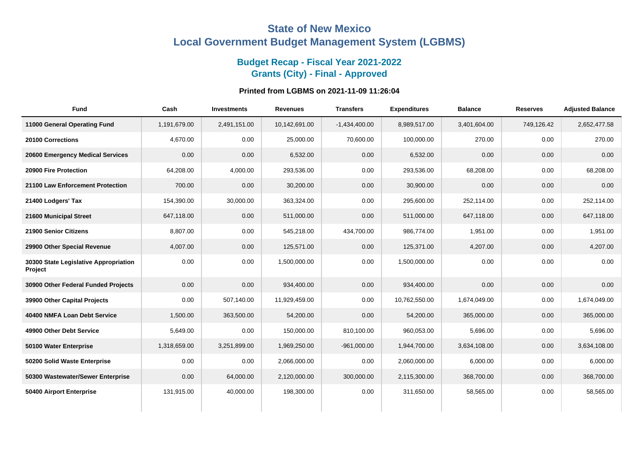## **State of New Mexico Local Government Budget Management System (LGBMS)**

## **Budget Recap - Fiscal Year 2021-2022 Grants (City) - Final - Approved**

## **Printed from LGBMS on 2021-11-09 11:26:04**

| <b>Fund</b>                                      | Cash         | <b>Investments</b> | <b>Revenues</b> | <b>Transfers</b> | <b>Expenditures</b> | <b>Balance</b> | <b>Reserves</b> | <b>Adjusted Balance</b> |
|--------------------------------------------------|--------------|--------------------|-----------------|------------------|---------------------|----------------|-----------------|-------------------------|
| 11000 General Operating Fund                     | 1,191,679.00 | 2,491,151.00       | 10,142,691.00   | $-1,434,400.00$  | 8,989,517.00        | 3,401,604.00   | 749,126.42      | 2,652,477.58            |
| 20100 Corrections                                | 4,670.00     | 0.00               | 25,000.00       | 70,600.00        | 100,000.00          | 270.00         | 0.00            | 270.00                  |
| 20600 Emergency Medical Services                 | 0.00         | 0.00               | 6,532.00        | 0.00             | 6,532.00            | 0.00           | 0.00            | 0.00                    |
| 20900 Fire Protection                            | 64,208.00    | 4,000.00           | 293,536.00      | 0.00             | 293,536.00          | 68,208.00      | 0.00            | 68,208.00               |
| 21100 Law Enforcement Protection                 | 700.00       | 0.00               | 30,200.00       | 0.00             | 30,900.00           | 0.00           | 0.00            | 0.00                    |
| 21400 Lodgers' Tax                               | 154,390.00   | 30,000.00          | 363,324.00      | 0.00             | 295,600.00          | 252,114.00     | 0.00            | 252,114.00              |
| 21600 Municipal Street                           | 647,118.00   | 0.00               | 511,000.00      | 0.00             | 511,000.00          | 647,118.00     | 0.00            | 647,118.00              |
| 21900 Senior Citizens                            | 8,807.00     | 0.00               | 545,218.00      | 434,700.00       | 986,774.00          | 1,951.00       | 0.00            | 1,951.00                |
| 29900 Other Special Revenue                      | 4,007.00     | 0.00               | 125,571.00      | 0.00             | 125,371.00          | 4,207.00       | 0.00            | 4,207.00                |
| 30300 State Legislative Appropriation<br>Project | 0.00         | 0.00               | 1,500,000.00    | 0.00             | 1,500,000.00        | 0.00           | 0.00            | 0.00                    |
| 30900 Other Federal Funded Projects              | 0.00         | 0.00               | 934,400.00      | 0.00             | 934,400.00          | 0.00           | 0.00            | 0.00                    |
| 39900 Other Capital Projects                     | 0.00         | 507,140.00         | 11,929,459.00   | 0.00             | 10,762,550.00       | 1,674,049.00   | 0.00            | 1,674,049.00            |
| 40400 NMFA Loan Debt Service                     | 1,500.00     | 363,500.00         | 54,200.00       | 0.00             | 54,200.00           | 365,000.00     | 0.00            | 365,000.00              |
| 49900 Other Debt Service                         | 5,649.00     | 0.00               | 150,000.00      | 810,100.00       | 960,053.00          | 5,696.00       | 0.00            | 5,696.00                |
| 50100 Water Enterprise                           | 1,318,659.00 | 3,251,899.00       | 1,969,250.00    | $-961,000.00$    | 1,944,700.00        | 3,634,108.00   | 0.00            | 3,634,108.00            |
| 50200 Solid Waste Enterprise                     | 0.00         | 0.00               | 2,066,000.00    | 0.00             | 2,060,000.00        | 6,000.00       | 0.00            | 6,000.00                |
| 50300 Wastewater/Sewer Enterprise                | 0.00         | 64,000.00          | 2,120,000.00    | 300,000.00       | 2,115,300.00        | 368,700.00     | 0.00            | 368,700.00              |
| 50400 Airport Enterprise                         | 131,915.00   | 40,000.00          | 198,300.00      | 0.00             | 311,650.00          | 58,565.00      | 0.00            | 58,565.00               |